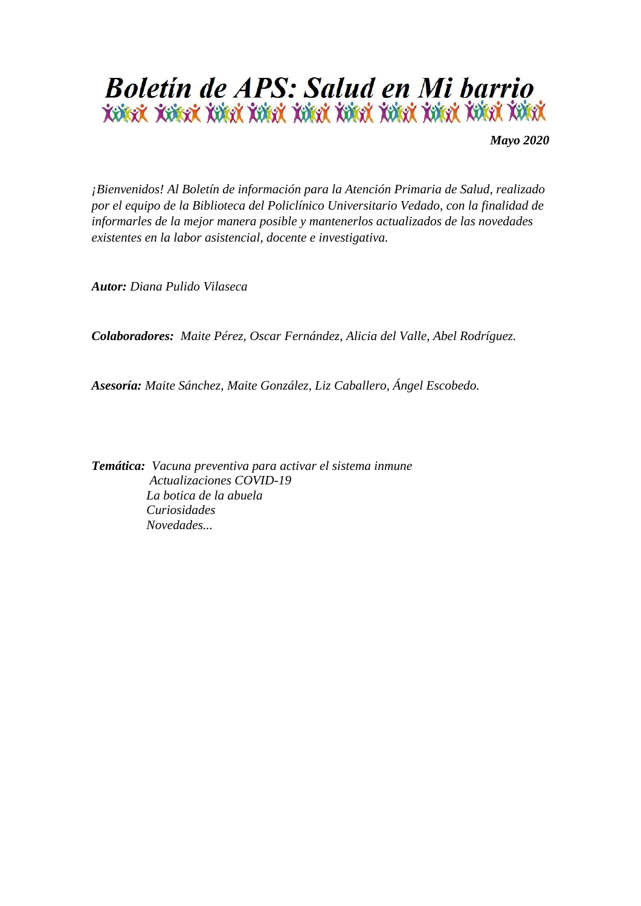

*Mayo 2020*

*¡Bienvenidos! Al Boletín de información para la Atención Primaria de Salud, realizado por el equipo de la Biblioteca del Policlínico Universitario Vedado, con la finalidad de informarles de la mejor manera posible y mantenerlos actualizados de las novedades existentes en la labor asistencial, docente e investigativa.*

*Autor: Diana Pulido Vilaseca* 

*Colaboradores: Maite Pérez, Oscar Fernández, Alicia del Valle, Abel Rodríguez.* 

*Asesoría: Maite Sánchez, Maite González, Liz Caballero, Ángel Escobedo.*

*Temática: Vacuna preventiva para activar el sistema inmune Actualizaciones COVID-19 La botica de la abuela Curiosidades Novedades...*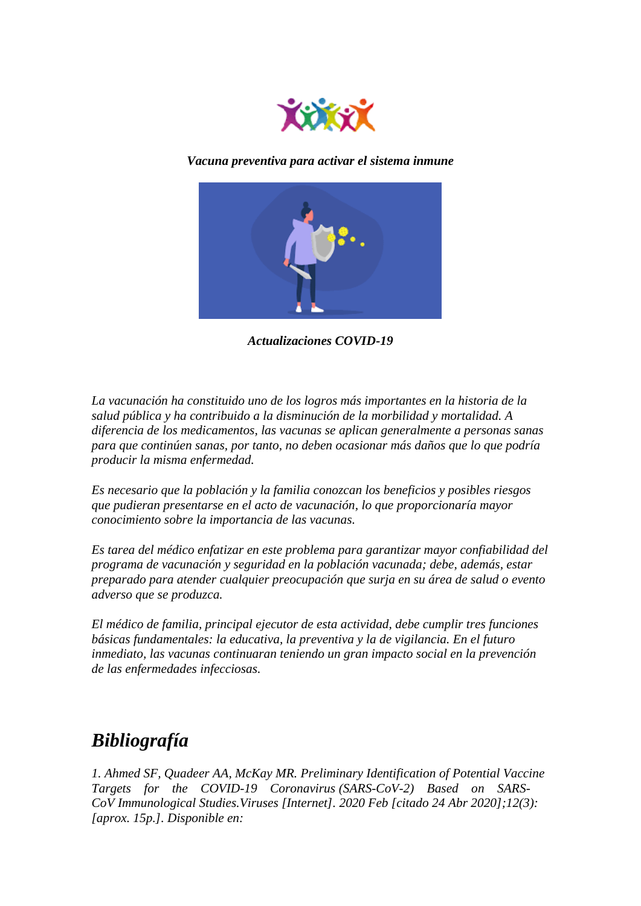

*Vacuna preventiva para activar el sistema inmune*



*Actualizaciones COVID-19*

*La vacunación ha constituido uno de los logros más importantes en la historia de la salud pública y ha contribuido a la disminución de la morbilidad y mortalidad. A diferencia de los medicamentos, las vacunas se aplican generalmente a personas sanas para que continúen sanas, por tanto, no deben ocasionar más daños que lo que podría producir la misma enfermedad.* 

*Es necesario que la población y la familia conozcan los beneficios y posibles riesgos que pudieran presentarse en el acto de vacunación, lo que proporcionaría mayor conocimiento sobre la importancia de las vacunas.* 

*Es tarea del médico enfatizar en este problema para garantizar mayor confiabilidad del programa de vacunación y seguridad en la población vacunada; debe, además, estar preparado para atender cualquier preocupación que surja en su área de salud o evento adverso que se produzca.* 

*El médico de familia, principal ejecutor de esta actividad, debe cumplir tres funciones básicas fundamentales: la educativa, la preventiva y la de vigilancia. En el futuro inmediato, las vacunas continuaran teniendo un gran impacto social en la prevención de las enfermedades infecciosas.*

## *Bibliografía*

*1. Ahmed SF, Quadeer AA, McKay MR. Preliminary Identification of Potential Vaccine Targets for the COVID-19 Coronavirus (SARS-CoV-2) Based on SARS-CoV Immunological Studies.Viruses [Internet]. 2020 Feb [citado 24 Abr 2020];12(3): [aprox. 15p.]. Disponible en:*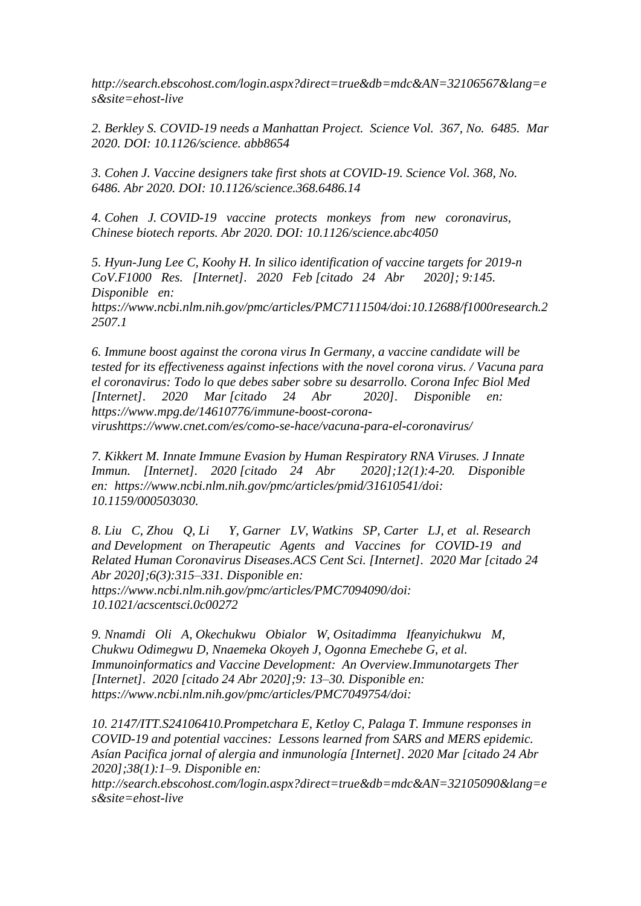*http://search.ebscohost.com/login.aspx?direct=true&db=mdc&AN=32106567&lang=e s&site=ehost-live*

*2. Berkley S. COVID-19 needs a Manhattan Project. Science Vol. 367, No. 6485. Mar 2020. DOI: 10.1126/science. abb8654*

*3. Cohen J. Vaccine designers take first shots at COVID-19. Science Vol. 368, No. 6486. Abr 2020. DOI: 10.1126/science.368.6486.14*

*4. Cohen J. COVID-19 vaccine protects monkeys from new coronavirus, Chinese biotech reports. Abr 2020. DOI: 10.1126/science.abc4050*

*5. Hyun-Jung Lee C, Koohy H. In silico identification of vaccine targets for 2019-n CoV.F1000 Res. [Internet]. 2020 Feb [citado 24 Abr 2020]; 9:145. Disponible en: https://www.ncbi.nlm.nih.gov/pmc/articles/PMC7111504/doi:10.12688/f1000research.2 2507.1*

*6. Immune boost against the corona virus In Germany, a vaccine candidate will be tested for its effectiveness against infections with the novel corona virus. / Vacuna para el coronavirus: Todo lo que debes saber sobre su desarrollo. Corona Infec Biol Med [Internet]. 2020 Mar [citado 24 Abr 2020]. Disponible en: https://www.mpg.de/14610776/immune-boost-coronavirushttps://www.cnet.com/es/como-se-hace/vacuna-para-el-coronavirus/*

*7. Kikkert M. Innate Immune Evasion by Human Respiratory RNA Viruses. J Innate Immun. [Internet]. 2020 [citado 24 Abr 2020];12(1):4-20. Disponible en: https://www.ncbi.nlm.nih.gov/pmc/articles/pmid/31610541/doi: 10.1159/000503030.* 

*8. Liu C, Zhou Q, Li Y, Garner LV, Watkins SP, Carter LJ, et al. Research and Development on Therapeutic Agents and Vaccines for COVID-19 and Related Human Coronavirus Diseases.ACS Cent Sci. [Internet]. 2020 Mar [citado 24 Abr 2020];6(3):315–331. Disponible en: https://www.ncbi.nlm.nih.gov/pmc/articles/PMC7094090/doi: 10.1021/acscentsci.0c00272*

*9. Nnamdi Oli A, Okechukwu Obialor W, Ositadimma Ifeanyichukwu M, Chukwu Odimegwu D, Nnaemeka Okoyeh J, Ogonna Emechebe G, et al. Immunoinformatics and Vaccine Development: An Overview.Immunotargets Ther [Internet]. 2020 [citado 24 Abr 2020];9: 13–30. Disponible en: https://www.ncbi.nlm.nih.gov/pmc/articles/PMC7049754/doi:* 

*10. 2147/ITT.S24106410.Prompetchara E, Ketloy C, Palaga T. Immune responses in COVID-19 and potential vaccines: Lessons learned from SARS and MERS epidemic. Asían Pacifica jornal of alergia and inmunología [Internet]. 2020 Mar [citado 24 Abr 2020];38(1):1–9. Disponible en:* 

*http://search.ebscohost.com/login.aspx?direct=true&db=mdc&AN=32105090&lang=e s&site=ehost-live*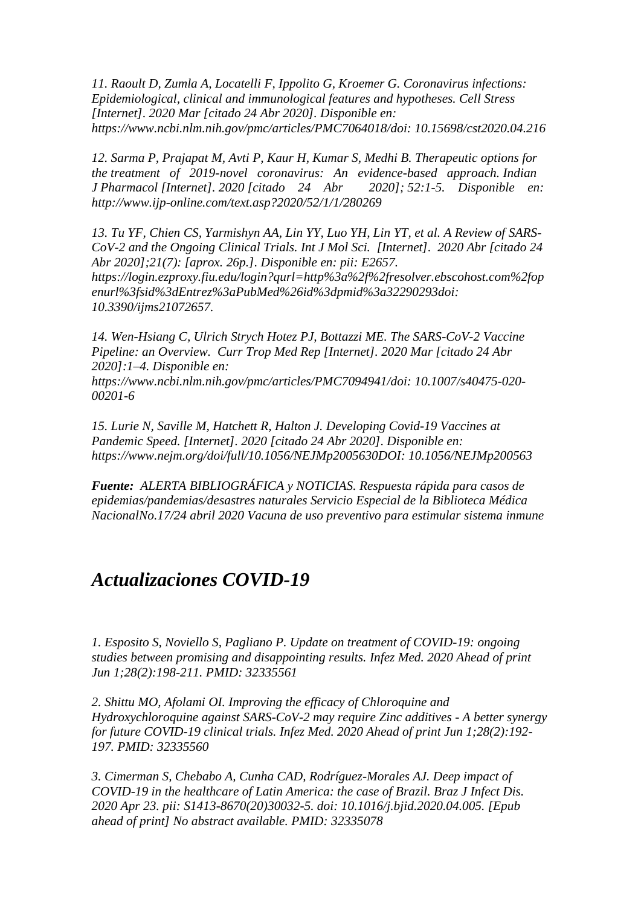*11. Raoult D, Zumla A, Locatelli F, Ippolito G, Kroemer G. Coronavirus infections: Epidemiological, clinical and immunological features and hypotheses. Cell Stress [Internet]. 2020 Mar [citado 24 Abr 2020]. Disponible en: https://www.ncbi.nlm.nih.gov/pmc/articles/PMC7064018/doi: 10.15698/cst2020.04.216* 

*12. Sarma P, Prajapat M, Avti P, Kaur H, Kumar S, Medhi B. Therapeutic options for the treatment of 2019-novel coronavirus: An evidence-based approach. Indian J Pharmacol [Internet]. 2020 [citado 24 Abr 2020]; 52:1-5. Disponible en: http://www.ijp-online.com/text.asp?2020/52/1/1/280269*

*13. Tu YF, Chien CS, Yarmishyn AA, Lin YY, Luo YH, Lin YT, et al. A Review of SARS-CoV-2 and the Ongoing Clinical Trials. Int J Mol Sci. [Internet]. 2020 Abr [citado 24 Abr 2020];21(7): [aprox. 26p.]. Disponible en: pii: E2657. https://login.ezproxy.fiu.edu/login?qurl=http%3a%2f%2fresolver.ebscohost.com%2fop enurl%3fsid%3dEntrez%3aPubMed%26id%3dpmid%3a32290293doi: 10.3390/ijms21072657.* 

*14. Wen-Hsiang C, Ulrich Strych Hotez PJ, Bottazzi ME. The SARS-CoV-2 Vaccine Pipeline: an Overview. Curr Trop Med Rep [Internet]. 2020 Mar [citado 24 Abr 2020]:1–4. Disponible en:* 

*https://www.ncbi.nlm.nih.gov/pmc/articles/PMC7094941/doi: 10.1007/s40475-020- 00201-6*

*15. Lurie N, Saville M, Hatchett R, Halton J. Developing Covid-19 Vaccines at Pandemic Speed. [Internet]. 2020 [citado 24 Abr 2020]. Disponible en: https://www.nejm.org/doi/full/10.1056/NEJMp2005630DOI: 10.1056/NEJMp200563*

*Fuente: ALERTA BIBLIOGRÁFICA y NOTICIAS. Respuesta rápida para casos de epidemias/pandemias/desastres naturales Servicio Especial de la Biblioteca Médica NacionalNo.17/24 abril 2020 Vacuna de uso preventivo para estimular sistema inmune*

## *Actualizaciones COVID-19*

*1. Esposito S, Noviello S, Pagliano P. Update on treatment of COVID-19: ongoing studies between promising and disappointing results. Infez Med. 2020 Ahead of print Jun 1;28(2):198-211. PMID: 32335561*

*2. Shittu MO, Afolami OI. Improving the efficacy of Chloroquine and Hydroxychloroquine against SARS-CoV-2 may require Zinc additives - A better synergy for future COVID-19 clinical trials. Infez Med. 2020 Ahead of print Jun 1;28(2):192- 197. PMID: 32335560*

*3. Cimerman S, Chebabo A, Cunha CAD, Rodríguez-Morales AJ. Deep impact of COVID-19 in the healthcare of Latin America: the case of Brazil. Braz J Infect Dis. 2020 Apr 23. pii: S1413-8670(20)30032-5. doi: 10.1016/j.bjid.2020.04.005. [Epub ahead of print] No abstract available. PMID: 32335078*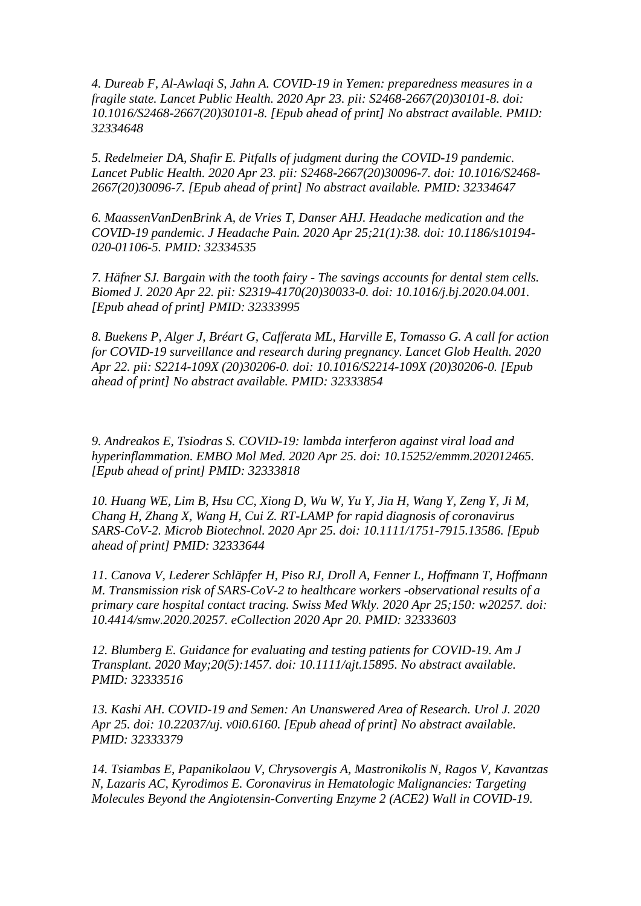*4. Dureab F, Al-Awlaqi S, Jahn A. COVID-19 in Yemen: preparedness measures in a fragile state. Lancet Public Health. 2020 Apr 23. pii: S2468-2667(20)30101-8. doi: 10.1016/S2468-2667(20)30101-8. [Epub ahead of print] No abstract available. PMID: 32334648*

*5. Redelmeier DA, Shafir E. Pitfalls of judgment during the COVID-19 pandemic. Lancet Public Health. 2020 Apr 23. pii: S2468-2667(20)30096-7. doi: 10.1016/S2468- 2667(20)30096-7. [Epub ahead of print] No abstract available. PMID: 32334647*

*6. MaassenVanDenBrink A, de Vries T, Danser AHJ. Headache medication and the COVID-19 pandemic. J Headache Pain. 2020 Apr 25;21(1):38. doi: 10.1186/s10194- 020-01106-5. PMID: 32334535*

*7. Häfner SJ. Bargain with the tooth fairy - The savings accounts for dental stem cells. Biomed J. 2020 Apr 22. pii: S2319-4170(20)30033-0. doi: 10.1016/j.bj.2020.04.001. [Epub ahead of print] PMID: 32333995*

*8. Buekens P, Alger J, Bréart G, Cafferata ML, Harville E, Tomasso G. A call for action for COVID-19 surveillance and research during pregnancy. Lancet Glob Health. 2020 Apr 22. pii: S2214-109X (20)30206-0. doi: 10.1016/S2214-109X (20)30206-0. [Epub ahead of print] No abstract available. PMID: 32333854*

*9. Andreakos E, Tsiodras S. COVID-19: lambda interferon against viral load and hyperinflammation. EMBO Mol Med. 2020 Apr 25. doi: 10.15252/emmm.202012465. [Epub ahead of print] PMID: 32333818*

*10. Huang WE, Lim B, Hsu CC, Xiong D, Wu W, Yu Y, Jia H, Wang Y, Zeng Y, Ji M, Chang H, Zhang X, Wang H, Cui Z. RT-LAMP for rapid diagnosis of coronavirus SARS-CoV-2. Microb Biotechnol. 2020 Apr 25. doi: 10.1111/1751-7915.13586. [Epub ahead of print] PMID: 32333644*

*11. Canova V, Lederer Schläpfer H, Piso RJ, Droll A, Fenner L, Hoffmann T, Hoffmann M. Transmission risk of SARS-CoV-2 to healthcare workers -observational results of a primary care hospital contact tracing. Swiss Med Wkly. 2020 Apr 25;150: w20257. doi: 10.4414/smw.2020.20257. eCollection 2020 Apr 20. PMID: 32333603*

*12. Blumberg E. Guidance for evaluating and testing patients for COVID-19. Am J Transplant. 2020 May;20(5):1457. doi: 10.1111/ajt.15895. No abstract available. PMID: 32333516*

*13. Kashi AH. COVID-19 and Semen: An Unanswered Area of Research. Urol J. 2020 Apr 25. doi: 10.22037/uj. v0i0.6160. [Epub ahead of print] No abstract available. PMID: 32333379*

*14. Tsiambas E, Papanikolaou V, Chrysovergis A, Mastronikolis N, Ragos V, Kavantzas N, Lazaris AC, Kyrodimos E. Coronavirus in Hematologic Malignancies: Targeting Molecules Beyond the Angiotensin-Converting Enzyme 2 (ACE2) Wall in COVID-19.*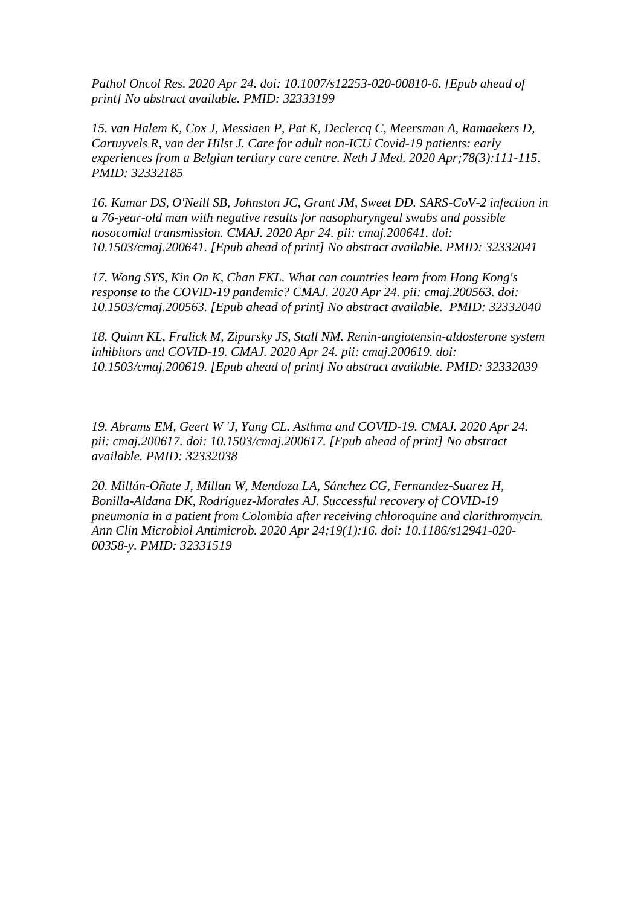*Pathol Oncol Res. 2020 Apr 24. doi: 10.1007/s12253-020-00810-6. [Epub ahead of print] No abstract available. PMID: 32333199*

*15. van Halem K, Cox J, Messiaen P, Pat K, Declercq C, Meersman A, Ramaekers D, Cartuyvels R, van der Hilst J. Care for adult non-ICU Covid-19 patients: early experiences from a Belgian tertiary care centre. Neth J Med. 2020 Apr;78(3):111-115. PMID: 32332185*

*16. Kumar DS, O'Neill SB, Johnston JC, Grant JM, Sweet DD. SARS-CoV-2 infection in a 76-year-old man with negative results for nasopharyngeal swabs and possible nosocomial transmission. CMAJ. 2020 Apr 24. pii: cmaj.200641. doi: 10.1503/cmaj.200641. [Epub ahead of print] No abstract available. PMID: 32332041*

*17. Wong SYS, Kin On K, Chan FKL. What can countries learn from Hong Kong's response to the COVID-19 pandemic? CMAJ. 2020 Apr 24. pii: cmaj.200563. doi: 10.1503/cmaj.200563. [Epub ahead of print] No abstract available. PMID: 32332040*

*18. Quinn KL, Fralick M, Zipursky JS, Stall NM. Renin-angiotensin-aldosterone system inhibitors and COVID-19. CMAJ. 2020 Apr 24. pii: cmaj.200619. doi: 10.1503/cmaj.200619. [Epub ahead of print] No abstract available. PMID: 32332039*

*19. Abrams EM, Geert W 'J, Yang CL. Asthma and COVID-19. CMAJ. 2020 Apr 24. pii: cmaj.200617. doi: 10.1503/cmaj.200617. [Epub ahead of print] No abstract available. PMID: 32332038*

*20. Millán-Oñate J, Millan W, Mendoza LA, Sánchez CG, Fernandez-Suarez H, Bonilla-Aldana DK, Rodríguez-Morales AJ. Successful recovery of COVID-19 pneumonia in a patient from Colombia after receiving chloroquine and clarithromycin. Ann Clin Microbiol Antimicrob. 2020 Apr 24;19(1):16. doi: 10.1186/s12941-020- 00358-y. PMID: 32331519*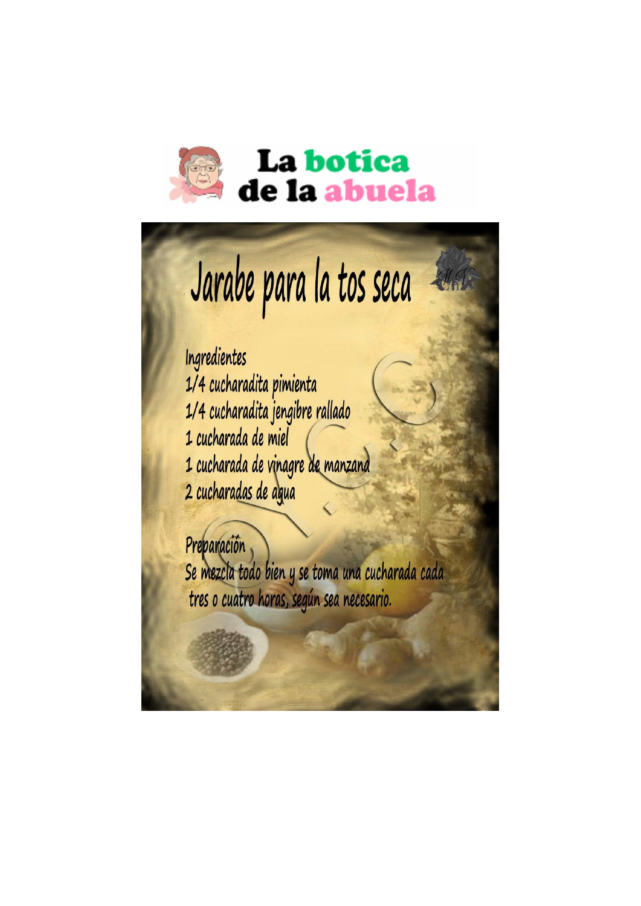

## La botica de la abuela

## Jarabe para la tos seca

Ingredientes 1/4 cucharadita pimienta 1/4 cucharadita jengibre rallado 1 cucharada de miel 1 cucharada de vinagre de manzana 2 cucharadas de agua

Preparación Se mezcla todo bien y se toma una cucharada cada tres o cuatro horas, según sea necesario.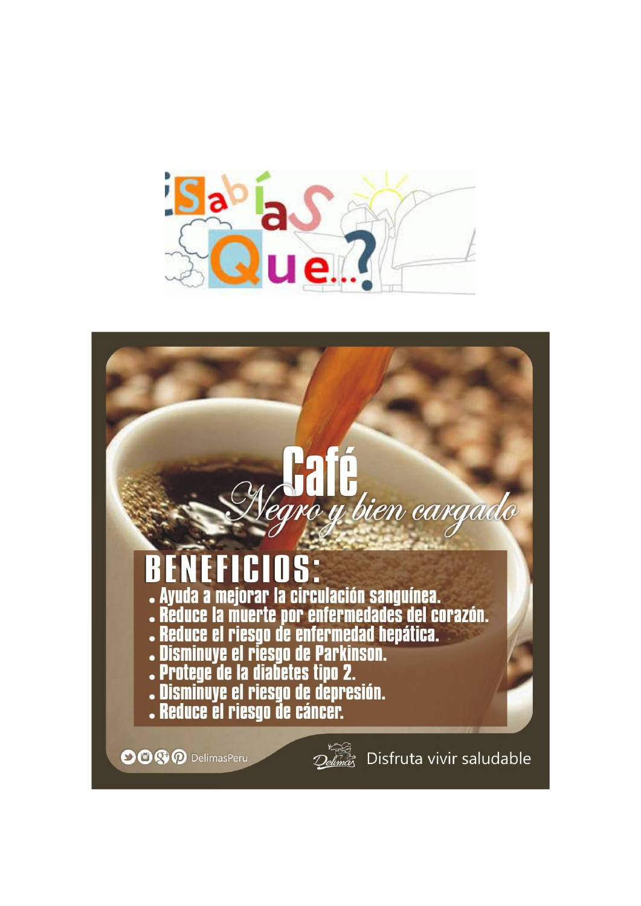

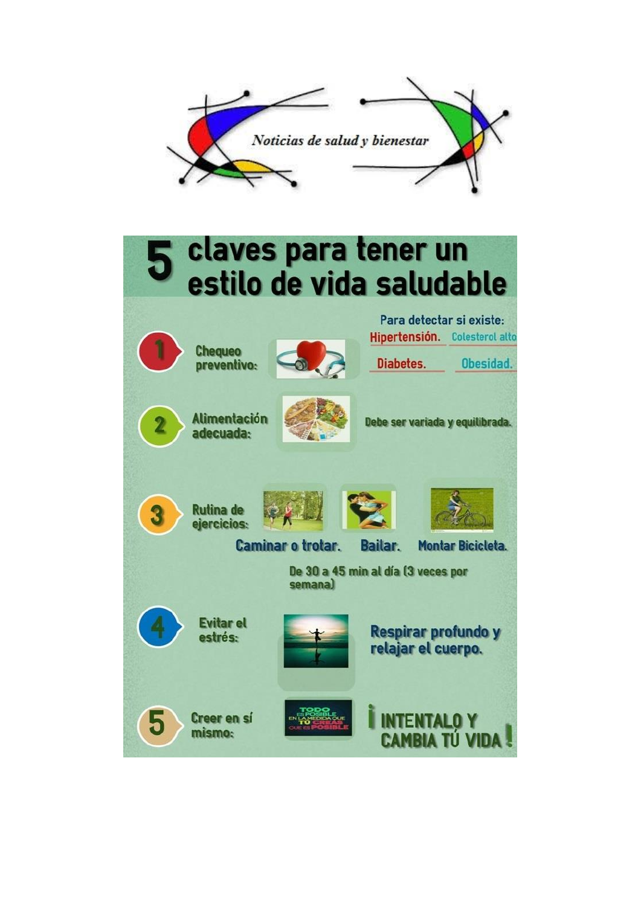